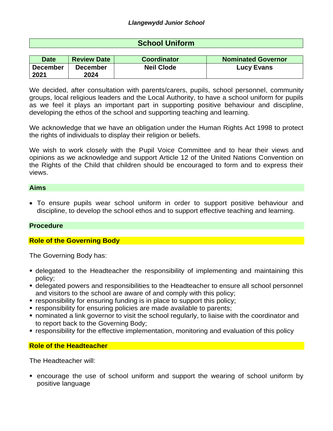# **School Uniform**

| <b>Date</b>     | <b>Review Date</b> | <b>Coordinator</b> | <b>Nominated Governor</b> |
|-----------------|--------------------|--------------------|---------------------------|
| <b>December</b> | <b>December</b>    | <b>Neil Clode</b>  | <b>Lucy Evans</b>         |
| 2021            | 2024               |                    |                           |

We decided, after consultation with parents/carers, pupils, school personnel, community groups, local religious leaders and the Local Authority, to have a school uniform for pupils as we feel it plays an important part in supporting positive behaviour and discipline, developing the ethos of the school and supporting teaching and learning.

We acknowledge that we have an obligation under the Human Rights Act 1998 to protect the rights of individuals to display their religion or beliefs.

We wish to work closely with the Pupil Voice Committee and to hear their views and opinions as we acknowledge and support Article 12 of the United Nations Convention on the Rights of the Child that children should be encouraged to form and to express their views.

#### **Aims**

 To ensure pupils wear school uniform in order to support positive behaviour and discipline, to develop the school ethos and to support effective teaching and learning.

#### **Procedure**

# **Role of the Governing Body**

The Governing Body has:

- delegated to the Headteacher the responsibility of implementing and maintaining this policy;
- delegated powers and responsibilities to the Headteacher to ensure all school personnel and visitors to the school are aware of and comply with this policy;
- responsibility for ensuring funding is in place to support this policy;
- **Exercise 1** responsibility for ensuring policies are made available to parents;
- nominated a link governor to visit the school regularly, to liaise with the coordinator and to report back to the Governing Body;
- responsibility for the effective implementation, monitoring and evaluation of this policy

# **Role of the Headteacher**

The Headteacher will:

 encourage the use of school uniform and support the wearing of school uniform by positive language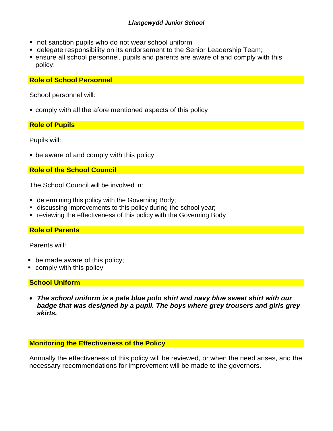- not sanction pupils who do not wear school uniform
- delegate responsibility on its endorsement to the Senior Leadership Team;
- ensure all school personnel, pupils and parents are aware of and comply with this policy;

**Role of School Personnel**

School personnel will:

comply with all the afore mentioned aspects of this policy

# **Role of Pupils**

Pupils will:

be aware of and comply with this policy

# **Role of the School Council**

The School Council will be involved in:

- **Example 1** determining this policy with the Governing Body;
- discussing improvements to this policy during the school year;
- reviewing the effectiveness of this policy with the Governing Body

# **Role of Parents**

Parents will:

- **be made aware of this policy;**
- **comply with this policy**

# **School Uniform**

 *The school uniform is a pale blue polo shirt and navy blue sweat shirt with our badge that was designed by a pupil. The boys where grey trousers and girls grey skirts.* 

# **Monitoring the Effectiveness of the Policy**

Annually the effectiveness of this policy will be reviewed, or when the need arises, and the necessary recommendations for improvement will be made to the governors.